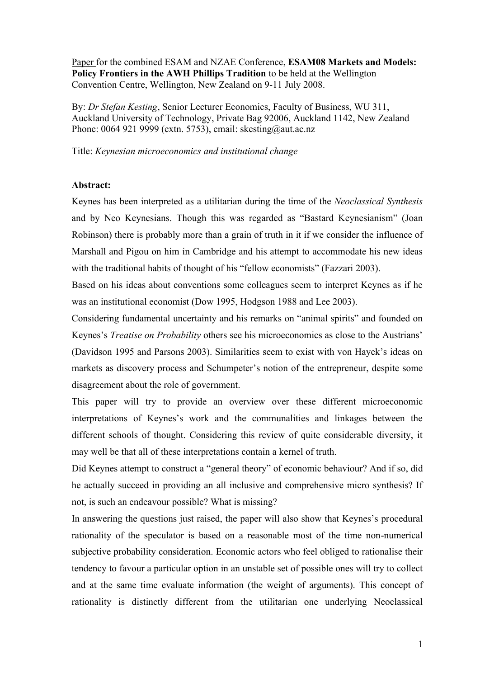Paper for the combined ESAM and NZAE Conference, **ESAM08 Markets and Models: Policy Frontiers in the AWH Phillips Tradition** to be held at the Wellington Convention Centre, Wellington, New Zealand on 9-11 July 2008.

By: *Dr Stefan Kesting*, Senior Lecturer Economics, Faculty of Business, WU 311, Auckland University of Technology, Private Bag 92006, Auckland 1142, New Zealand Phone: 0064 921 9999 (extn. 5753), email: skesting@aut.ac.nz

Title: *Keynesian microeconomics and institutional change*

## **Abstract:**

Keynes has been interpreted as a utilitarian during the time of the *Neoclassical Synthesis* and by Neo Keynesians. Though this was regarded as "Bastard Keynesianism" (Joan Robinson) there is probably more than a grain of truth in it if we consider the influence of Marshall and Pigou on him in Cambridge and his attempt to accommodate his new ideas with the traditional habits of thought of his "fellow economists" (Fazzari 2003).

Based on his ideas about conventions some colleagues seem to interpret Keynes as if he was an institutional economist (Dow 1995, Hodgson 1988 and Lee 2003).

Considering fundamental uncertainty and his remarks on "animal spirits" and founded on Keynes's *Treatise on Probability* others see his microeconomics as close to the Austrians' (Davidson 1995 and Parsons 2003). Similarities seem to exist with von Hayek's ideas on markets as discovery process and Schumpeter's notion of the entrepreneur, despite some disagreement about the role of government.

This paper will try to provide an overview over these different microeconomic interpretations of Keynes's work and the communalities and linkages between the different schools of thought. Considering this review of quite considerable diversity, it may well be that all of these interpretations contain a kernel of truth.

Did Keynes attempt to construct a "general theory" of economic behaviour? And if so, did he actually succeed in providing an all inclusive and comprehensive micro synthesis? If not, is such an endeavour possible? What is missing?

In answering the questions just raised, the paper will also show that Keynes's procedural rationality of the speculator is based on a reasonable most of the time non-numerical subjective probability consideration. Economic actors who feel obliged to rationalise their tendency to favour a particular option in an unstable set of possible ones will try to collect and at the same time evaluate information (the weight of arguments). This concept of rationality is distinctly different from the utilitarian one underlying Neoclassical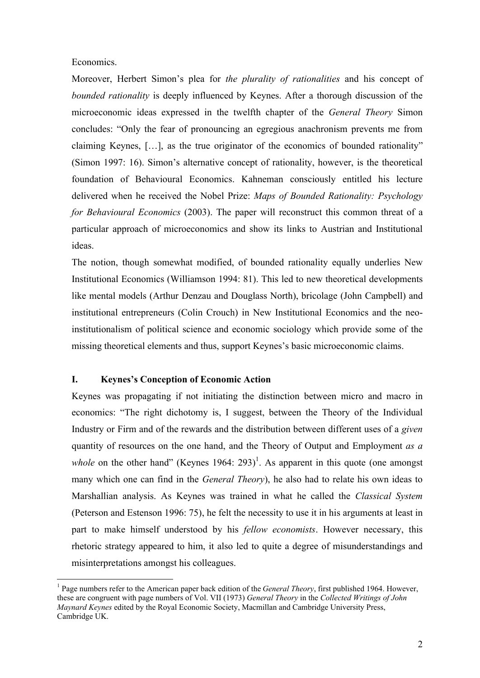#### Economics.

 $\overline{a}$ 

Moreover, Herbert Simon's plea for *the plurality of rationalities* and his concept of *bounded rationality* is deeply influenced by Keynes. After a thorough discussion of the microeconomic ideas expressed in the twelfth chapter of the *General Theory* Simon concludes: "Only the fear of pronouncing an egregious anachronism prevents me from claiming Keynes, […], as the true originator of the economics of bounded rationality" (Simon 1997: 16). Simon's alternative concept of rationality, however, is the theoretical foundation of Behavioural Economics. Kahneman consciously entitled his lecture delivered when he received the Nobel Prize: *Maps of Bounded Rationality: Psychology for Behavioural Economics* (2003). The paper will reconstruct this common threat of a particular approach of microeconomics and show its links to Austrian and Institutional ideas.

The notion, though somewhat modified, of bounded rationality equally underlies New Institutional Economics (Williamson 1994: 81). This led to new theoretical developments like mental models (Arthur Denzau and Douglass North), bricolage (John Campbell) and institutional entrepreneurs (Colin Crouch) in New Institutional Economics and the neoinstitutionalism of political science and economic sociology which provide some of the missing theoretical elements and thus, support Keynes's basic microeconomic claims.

#### **I. Keynes's Conception of Economic Action**

Keynes was propagating if not initiating the distinction between micro and macro in economics: "The right dichotomy is, I suggest, between the Theory of the Individual Industry or Firm and of the rewards and the distribution between different uses of a *given* quantity of resources on the one hand, and the Theory of Output and Employment *as a*  whole on the other hand" (Keynes  $1964$ :  $293$ )<sup>1</sup>. As apparent in this quote (one amongst many which one can find in the *General Theory*), he also had to relate his own ideas to Marshallian analysis. As Keynes was trained in what he called the *Classical System* (Peterson and Estenson 1996: 75), he felt the necessity to use it in his arguments at least in part to make himself understood by his *fellow economists*. However necessary, this rhetoric strategy appeared to him, it also led to quite a degree of misunderstandings and misinterpretations amongst his colleagues.

<sup>&</sup>lt;sup>1</sup> Page numbers refer to the American paper back edition of the *General Theory*, first published 1964. However, these are congruent with page numbers of Vol. VII (1973) *General Theory* in the *Collected Writings of John Maynard Keynes* edited by the Royal Economic Society, Macmillan and Cambridge University Press, Cambridge UK.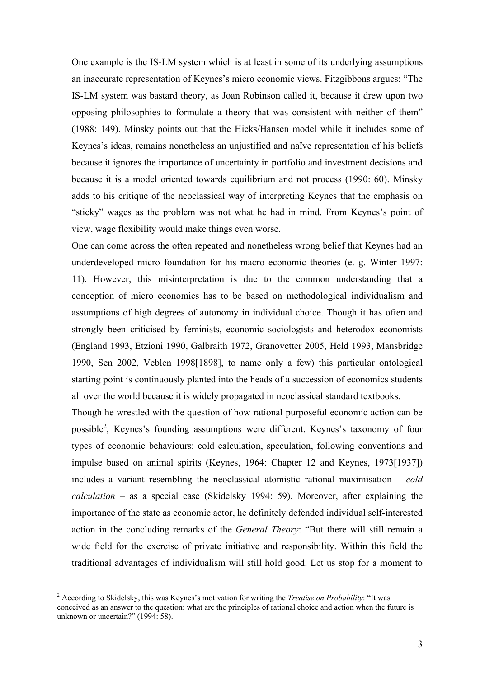One example is the IS-LM system which is at least in some of its underlying assumptions an inaccurate representation of Keynes's micro economic views. Fitzgibbons argues: "The IS-LM system was bastard theory, as Joan Robinson called it, because it drew upon two opposing philosophies to formulate a theory that was consistent with neither of them" (1988: 149). Minsky points out that the Hicks/Hansen model while it includes some of Keynes's ideas, remains nonetheless an unjustified and naïve representation of his beliefs because it ignores the importance of uncertainty in portfolio and investment decisions and because it is a model oriented towards equilibrium and not process (1990: 60). Minsky adds to his critique of the neoclassical way of interpreting Keynes that the emphasis on "sticky" wages as the problem was not what he had in mind. From Keynes's point of view, wage flexibility would make things even worse.

One can come across the often repeated and nonetheless wrong belief that Keynes had an underdeveloped micro foundation for his macro economic theories (e. g. Winter 1997: 11). However, this misinterpretation is due to the common understanding that a conception of micro economics has to be based on methodological individualism and assumptions of high degrees of autonomy in individual choice. Though it has often and strongly been criticised by feminists, economic sociologists and heterodox economists (England 1993, Etzioni 1990, Galbraith 1972, Granovetter 2005, Held 1993, Mansbridge 1990, Sen 2002, Veblen 1998[1898], to name only a few) this particular ontological starting point is continuously planted into the heads of a succession of economics students all over the world because it is widely propagated in neoclassical standard textbooks.

Though he wrestled with the question of how rational purposeful economic action can be possible<sup>2</sup>, Keynes's founding assumptions were different. Keynes's taxonomy of four types of economic behaviours: cold calculation, speculation, following conventions and impulse based on animal spirits (Keynes, 1964: Chapter 12 and Keynes, 1973[1937]) includes a variant resembling the neoclassical atomistic rational maximisation – *cold calculation* – as a special case (Skidelsky 1994: 59). Moreover, after explaining the importance of the state as economic actor, he definitely defended individual self-interested action in the concluding remarks of the *General Theory*: "But there will still remain a wide field for the exercise of private initiative and responsibility. Within this field the traditional advantages of individualism will still hold good. Let us stop for a moment to

<sup>2</sup> According to Skidelsky, this was Keynes's motivation for writing the *Treatise on Probability*: "It was conceived as an answer to the question: what are the principles of rational choice and action when the future is unknown or uncertain?" (1994: 58).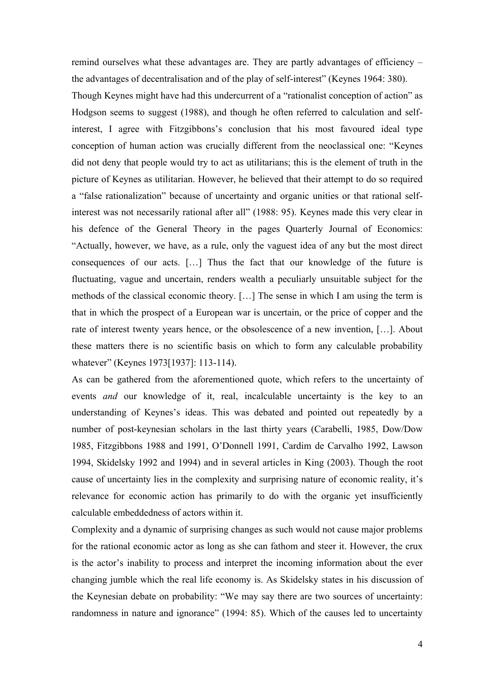remind ourselves what these advantages are. They are partly advantages of efficiency – the advantages of decentralisation and of the play of self-interest" (Keynes 1964: 380).

Though Keynes might have had this undercurrent of a "rationalist conception of action" as Hodgson seems to suggest (1988), and though he often referred to calculation and selfinterest, I agree with Fitzgibbons's conclusion that his most favoured ideal type conception of human action was crucially different from the neoclassical one: "Keynes did not deny that people would try to act as utilitarians; this is the element of truth in the picture of Keynes as utilitarian. However, he believed that their attempt to do so required a "false rationalization" because of uncertainty and organic unities or that rational selfinterest was not necessarily rational after all" (1988: 95). Keynes made this very clear in his defence of the General Theory in the pages Quarterly Journal of Economics: "Actually, however, we have, as a rule, only the vaguest idea of any but the most direct consequences of our acts. […] Thus the fact that our knowledge of the future is fluctuating, vague and uncertain, renders wealth a peculiarly unsuitable subject for the methods of the classical economic theory. […] The sense in which I am using the term is that in which the prospect of a European war is uncertain, or the price of copper and the rate of interest twenty years hence, or the obsolescence of a new invention, […]. About these matters there is no scientific basis on which to form any calculable probability whatever" (Keynes 1973[1937]: 113-114).

As can be gathered from the aforementioned quote, which refers to the uncertainty of events *and* our knowledge of it, real, incalculable uncertainty is the key to an understanding of Keynes's ideas. This was debated and pointed out repeatedly by a number of post-keynesian scholars in the last thirty years (Carabelli, 1985, Dow/Dow 1985, Fitzgibbons 1988 and 1991, O'Donnell 1991, Cardim de Carvalho 1992, Lawson 1994, Skidelsky 1992 and 1994) and in several articles in King (2003). Though the root cause of uncertainty lies in the complexity and surprising nature of economic reality, it's relevance for economic action has primarily to do with the organic yet insufficiently calculable embeddedness of actors within it.

Complexity and a dynamic of surprising changes as such would not cause major problems for the rational economic actor as long as she can fathom and steer it. However, the crux is the actor's inability to process and interpret the incoming information about the ever changing jumble which the real life economy is. As Skidelsky states in his discussion of the Keynesian debate on probability: "We may say there are two sources of uncertainty: randomness in nature and ignorance" (1994: 85). Which of the causes led to uncertainty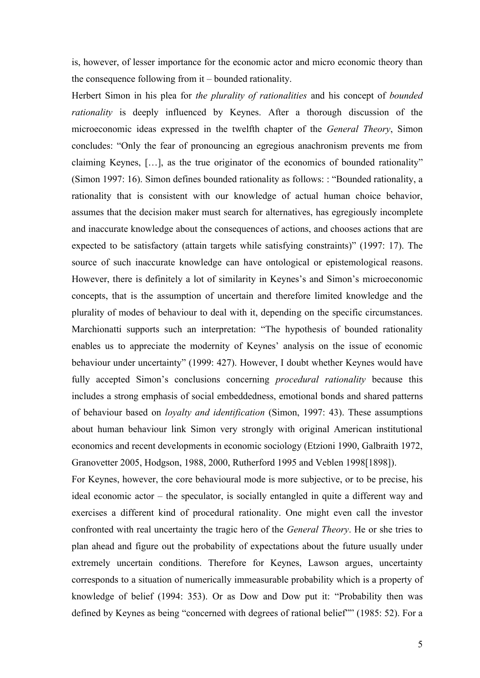is, however, of lesser importance for the economic actor and micro economic theory than the consequence following from it – bounded rationality.

Herbert Simon in his plea for *the plurality of rationalities* and his concept of *bounded rationality* is deeply influenced by Keynes. After a thorough discussion of the microeconomic ideas expressed in the twelfth chapter of the *General Theory*, Simon concludes: "Only the fear of pronouncing an egregious anachronism prevents me from claiming Keynes, […], as the true originator of the economics of bounded rationality" (Simon 1997: 16). Simon defines bounded rationality as follows: : "Bounded rationality, a rationality that is consistent with our knowledge of actual human choice behavior, assumes that the decision maker must search for alternatives, has egregiously incomplete and inaccurate knowledge about the consequences of actions, and chooses actions that are expected to be satisfactory (attain targets while satisfying constraints)" (1997: 17). The source of such inaccurate knowledge can have ontological or epistemological reasons. However, there is definitely a lot of similarity in Keynes's and Simon's microeconomic concepts, that is the assumption of uncertain and therefore limited knowledge and the plurality of modes of behaviour to deal with it, depending on the specific circumstances. Marchionatti supports such an interpretation: "The hypothesis of bounded rationality enables us to appreciate the modernity of Keynes' analysis on the issue of economic behaviour under uncertainty" (1999: 427). However, I doubt whether Keynes would have fully accepted Simon's conclusions concerning *procedural rationality* because this includes a strong emphasis of social embeddedness, emotional bonds and shared patterns of behaviour based on *loyalty and identification* (Simon, 1997: 43). These assumptions about human behaviour link Simon very strongly with original American institutional economics and recent developments in economic sociology (Etzioni 1990, Galbraith 1972, Granovetter 2005, Hodgson, 1988, 2000, Rutherford 1995 and Veblen 1998[1898]).

For Keynes, however, the core behavioural mode is more subjective, or to be precise, his ideal economic actor – the speculator, is socially entangled in quite a different way and exercises a different kind of procedural rationality. One might even call the investor confronted with real uncertainty the tragic hero of the *General Theory*. He or she tries to plan ahead and figure out the probability of expectations about the future usually under extremely uncertain conditions. Therefore for Keynes, Lawson argues, uncertainty corresponds to a situation of numerically immeasurable probability which is a property of knowledge of belief (1994: 353). Or as Dow and Dow put it: "Probability then was defined by Keynes as being "concerned with degrees of rational belief"" (1985: 52). For a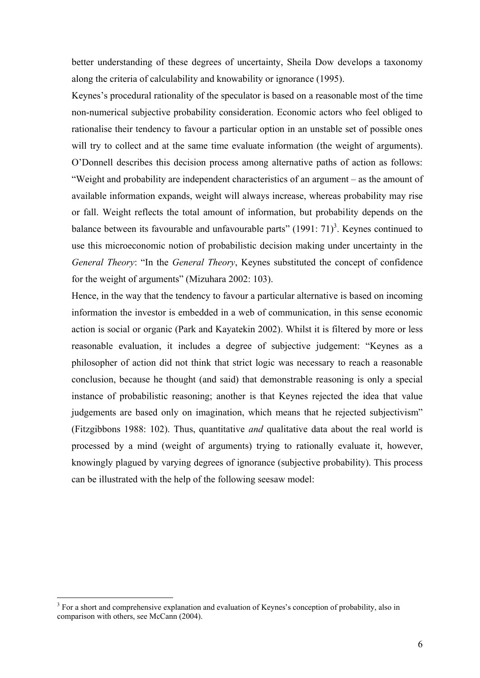better understanding of these degrees of uncertainty, Sheila Dow develops a taxonomy along the criteria of calculability and knowability or ignorance (1995).

Keynes's procedural rationality of the speculator is based on a reasonable most of the time non-numerical subjective probability consideration. Economic actors who feel obliged to rationalise their tendency to favour a particular option in an unstable set of possible ones will try to collect and at the same time evaluate information (the weight of arguments). O'Donnell describes this decision process among alternative paths of action as follows: "Weight and probability are independent characteristics of an argument – as the amount of available information expands, weight will always increase, whereas probability may rise or fall. Weight reflects the total amount of information, but probability depends on the balance between its favourable and unfavourable parts"  $(1991: 71)^3$ . Keynes continued to use this microeconomic notion of probabilistic decision making under uncertainty in the *General Theory*: "In the *General Theory*, Keynes substituted the concept of confidence for the weight of arguments" (Mizuhara 2002: 103).

Hence, in the way that the tendency to favour a particular alternative is based on incoming information the investor is embedded in a web of communication, in this sense economic action is social or organic (Park and Kayatekin 2002). Whilst it is filtered by more or less reasonable evaluation, it includes a degree of subjective judgement: "Keynes as a philosopher of action did not think that strict logic was necessary to reach a reasonable conclusion, because he thought (and said) that demonstrable reasoning is only a special instance of probabilistic reasoning; another is that Keynes rejected the idea that value judgements are based only on imagination, which means that he rejected subjectivism" (Fitzgibbons 1988: 102). Thus, quantitative *and* qualitative data about the real world is processed by a mind (weight of arguments) trying to rationally evaluate it, however, knowingly plagued by varying degrees of ignorance (subjective probability). This process can be illustrated with the help of the following seesaw model:

<sup>&</sup>lt;sup>3</sup> For a short and comprehensive explanation and evaluation of Keynes's conception of probability, also in comparison with others, see McCann (2004).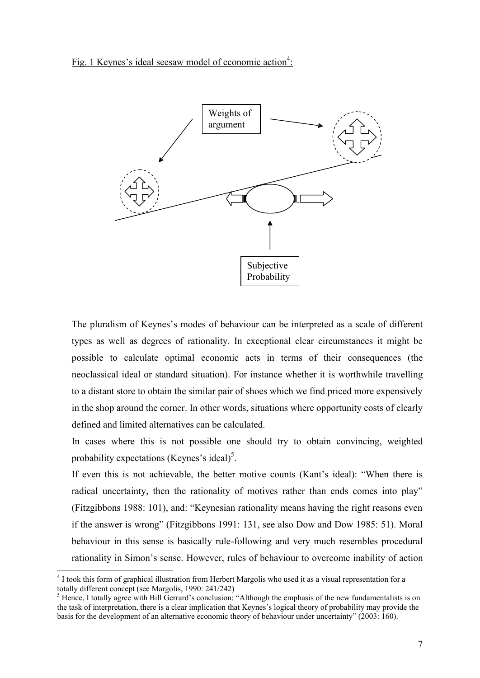Fig. 1 Keynes's ideal seesaw model of economic action<sup>4</sup>:



The pluralism of Keynes's modes of behaviour can be interpreted as a scale of different types as well as degrees of rationality. In exceptional clear circumstances it might be possible to calculate optimal economic acts in terms of their consequences (the neoclassical ideal or standard situation). For instance whether it is worthwhile travelling to a distant store to obtain the similar pair of shoes which we find priced more expensively in the shop around the corner. In other words, situations where opportunity costs of clearly defined and limited alternatives can be calculated.

In cases where this is not possible one should try to obtain convincing, weighted probability expectations (Keynes's ideal)<sup>5</sup>.

If even this is not achievable, the better motive counts (Kant's ideal): "When there is radical uncertainty, then the rationality of motives rather than ends comes into play" (Fitzgibbons 1988: 101), and: "Keynesian rationality means having the right reasons even if the answer is wrong" (Fitzgibbons 1991: 131, see also Dow and Dow 1985: 51). Moral behaviour in this sense is basically rule-following and very much resembles procedural rationality in Simon's sense. However, rules of behaviour to overcome inability of action

<sup>&</sup>lt;sup>4</sup> I took this form of graphical illustration from Herbert Margolis who used it as a visual representation for a totally different concept (see Margolis, 1990: 241/242)

 $<sup>5</sup>$  Hence, I totally agree with Bill Gerrard's conclusion: "Although the emphasis of the new fundamentalists is on</sup> the task of interpretation, there is a clear implication that Keynes's logical theory of probability may provide the basis for the development of an alternative economic theory of behaviour under uncertainty" (2003: 160).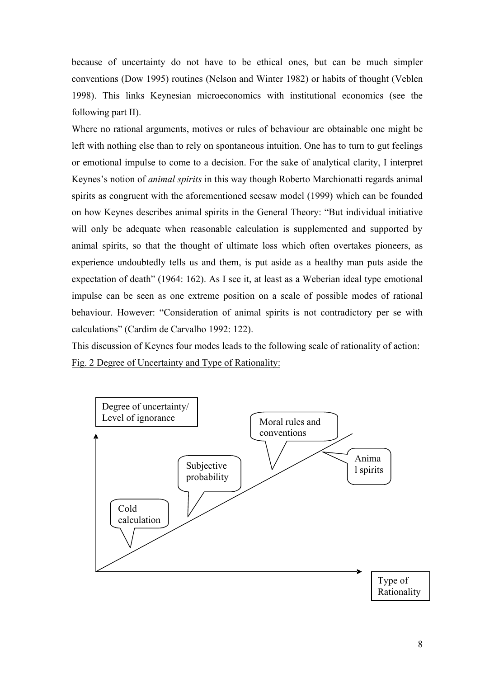because of uncertainty do not have to be ethical ones, but can be much simpler conventions (Dow 1995) routines (Nelson and Winter 1982) or habits of thought (Veblen 1998). This links Keynesian microeconomics with institutional economics (see the following part II).

Where no rational arguments, motives or rules of behaviour are obtainable one might be left with nothing else than to rely on spontaneous intuition. One has to turn to gut feelings or emotional impulse to come to a decision. For the sake of analytical clarity, I interpret Keynes's notion of *animal spirits* in this way though Roberto Marchionatti regards animal spirits as congruent with the aforementioned seesaw model (1999) which can be founded on how Keynes describes animal spirits in the General Theory: "But individual initiative will only be adequate when reasonable calculation is supplemented and supported by animal spirits, so that the thought of ultimate loss which often overtakes pioneers, as experience undoubtedly tells us and them, is put aside as a healthy man puts aside the expectation of death" (1964: 162). As I see it, at least as a Weberian ideal type emotional impulse can be seen as one extreme position on a scale of possible modes of rational behaviour. However: "Consideration of animal spirits is not contradictory per se with calculations" (Cardim de Carvalho 1992: 122).

This discussion of Keynes four modes leads to the following scale of rationality of action: Fig. 2 Degree of Uncertainty and Type of Rationality:

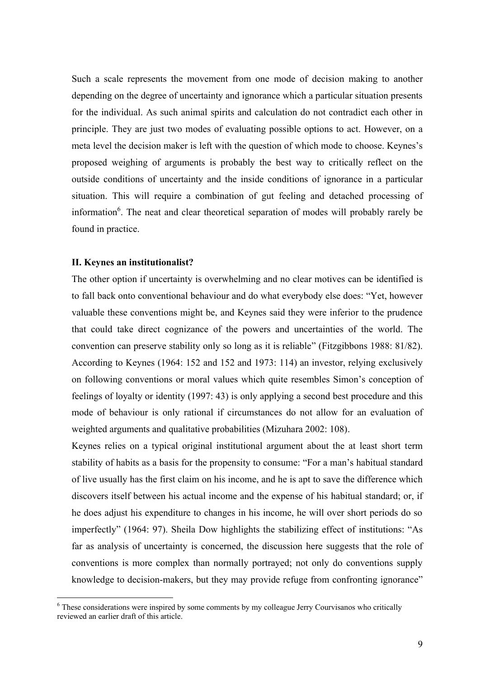Such a scale represents the movement from one mode of decision making to another depending on the degree of uncertainty and ignorance which a particular situation presents for the individual. As such animal spirits and calculation do not contradict each other in principle. They are just two modes of evaluating possible options to act. However, on a meta level the decision maker is left with the question of which mode to choose. Keynes's proposed weighing of arguments is probably the best way to critically reflect on the outside conditions of uncertainty and the inside conditions of ignorance in a particular situation. This will require a combination of gut feeling and detached processing of information<sup>6</sup>. The neat and clear theoretical separation of modes will probably rarely be found in practice.

#### **II. Keynes an institutionalist?**

 $\overline{a}$ 

The other option if uncertainty is overwhelming and no clear motives can be identified is to fall back onto conventional behaviour and do what everybody else does: "Yet, however valuable these conventions might be, and Keynes said they were inferior to the prudence that could take direct cognizance of the powers and uncertainties of the world. The convention can preserve stability only so long as it is reliable" (Fitzgibbons 1988: 81/82). According to Keynes (1964: 152 and 152 and 1973: 114) an investor, relying exclusively on following conventions or moral values which quite resembles Simon's conception of feelings of loyalty or identity (1997: 43) is only applying a second best procedure and this mode of behaviour is only rational if circumstances do not allow for an evaluation of weighted arguments and qualitative probabilities (Mizuhara 2002: 108).

Keynes relies on a typical original institutional argument about the at least short term stability of habits as a basis for the propensity to consume: "For a man's habitual standard of live usually has the first claim on his income, and he is apt to save the difference which discovers itself between his actual income and the expense of his habitual standard; or, if he does adjust his expenditure to changes in his income, he will over short periods do so imperfectly" (1964: 97). Sheila Dow highlights the stabilizing effect of institutions: "As far as analysis of uncertainty is concerned, the discussion here suggests that the role of conventions is more complex than normally portrayed; not only do conventions supply knowledge to decision-makers, but they may provide refuge from confronting ignorance"

<sup>&</sup>lt;sup>6</sup> These considerations were inspired by some comments by my colleague Jerry Courvisanos who critically reviewed an earlier draft of this article.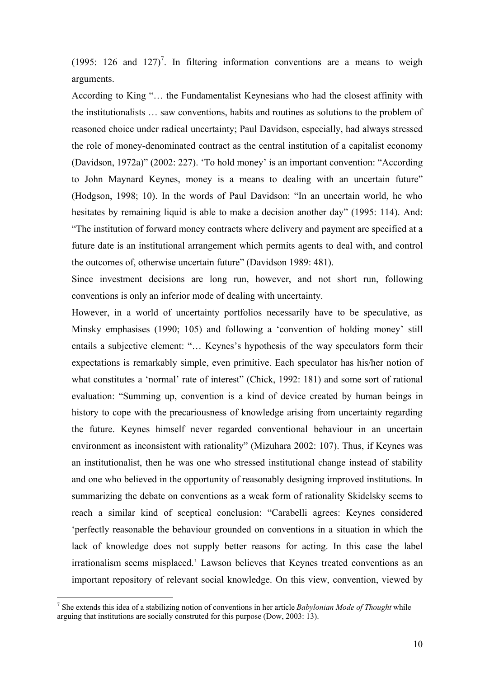(1995: 126 and 127)<sup>7</sup>. In filtering information conventions are a means to weigh arguments.

According to King "… the Fundamentalist Keynesians who had the closest affinity with the institutionalists … saw conventions, habits and routines as solutions to the problem of reasoned choice under radical uncertainty; Paul Davidson, especially, had always stressed the role of money-denominated contract as the central institution of a capitalist economy (Davidson, 1972a)" (2002: 227). 'To hold money' is an important convention: "According to John Maynard Keynes, money is a means to dealing with an uncertain future" (Hodgson, 1998; 10). In the words of Paul Davidson: "In an uncertain world, he who hesitates by remaining liquid is able to make a decision another day" (1995: 114). And: "The institution of forward money contracts where delivery and payment are specified at a future date is an institutional arrangement which permits agents to deal with, and control the outcomes of, otherwise uncertain future" (Davidson 1989: 481).

Since investment decisions are long run, however, and not short run, following conventions is only an inferior mode of dealing with uncertainty.

However, in a world of uncertainty portfolios necessarily have to be speculative, as Minsky emphasises (1990; 105) and following a 'convention of holding money' still entails a subjective element: "… Keynes's hypothesis of the way speculators form their expectations is remarkably simple, even primitive. Each speculator has his/her notion of what constitutes a 'normal' rate of interest" (Chick, 1992: 181) and some sort of rational evaluation: "Summing up, convention is a kind of device created by human beings in history to cope with the precariousness of knowledge arising from uncertainty regarding the future. Keynes himself never regarded conventional behaviour in an uncertain environment as inconsistent with rationality" (Mizuhara 2002: 107). Thus, if Keynes was an institutionalist, then he was one who stressed institutional change instead of stability and one who believed in the opportunity of reasonably designing improved institutions. In summarizing the debate on conventions as a weak form of rationality Skidelsky seems to reach a similar kind of sceptical conclusion: "Carabelli agrees: Keynes considered 'perfectly reasonable the behaviour grounded on conventions in a situation in which the lack of knowledge does not supply better reasons for acting. In this case the label irrationalism seems misplaced.' Lawson believes that Keynes treated conventions as an important repository of relevant social knowledge. On this view, convention, viewed by

<sup>7</sup> She extends this idea of a stabilizing notion of conventions in her article *Babylonian Mode of Thought* while arguing that institutions are socially construted for this purpose (Dow, 2003: 13).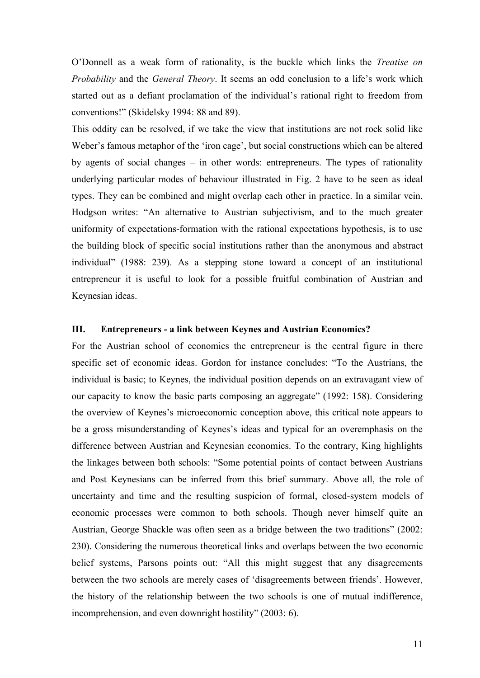O'Donnell as a weak form of rationality, is the buckle which links the *Treatise on Probability* and the *General Theory*. It seems an odd conclusion to a life's work which started out as a defiant proclamation of the individual's rational right to freedom from conventions!" (Skidelsky 1994: 88 and 89).

This oddity can be resolved, if we take the view that institutions are not rock solid like Weber's famous metaphor of the 'iron cage', but social constructions which can be altered by agents of social changes – in other words: entrepreneurs. The types of rationality underlying particular modes of behaviour illustrated in Fig. 2 have to be seen as ideal types. They can be combined and might overlap each other in practice. In a similar vein, Hodgson writes: "An alternative to Austrian subjectivism, and to the much greater uniformity of expectations-formation with the rational expectations hypothesis, is to use the building block of specific social institutions rather than the anonymous and abstract individual" (1988: 239). As a stepping stone toward a concept of an institutional entrepreneur it is useful to look for a possible fruitful combination of Austrian and Keynesian ideas.

#### **III. Entrepreneurs - a link between Keynes and Austrian Economics?**

For the Austrian school of economics the entrepreneur is the central figure in there specific set of economic ideas. Gordon for instance concludes: "To the Austrians, the individual is basic; to Keynes, the individual position depends on an extravagant view of our capacity to know the basic parts composing an aggregate" (1992: 158). Considering the overview of Keynes's microeconomic conception above, this critical note appears to be a gross misunderstanding of Keynes's ideas and typical for an overemphasis on the difference between Austrian and Keynesian economics. To the contrary, King highlights the linkages between both schools: "Some potential points of contact between Austrians and Post Keynesians can be inferred from this brief summary. Above all, the role of uncertainty and time and the resulting suspicion of formal, closed-system models of economic processes were common to both schools. Though never himself quite an Austrian, George Shackle was often seen as a bridge between the two traditions" (2002: 230). Considering the numerous theoretical links and overlaps between the two economic belief systems, Parsons points out: "All this might suggest that any disagreements between the two schools are merely cases of 'disagreements between friends'. However, the history of the relationship between the two schools is one of mutual indifference, incomprehension, and even downright hostility" (2003: 6).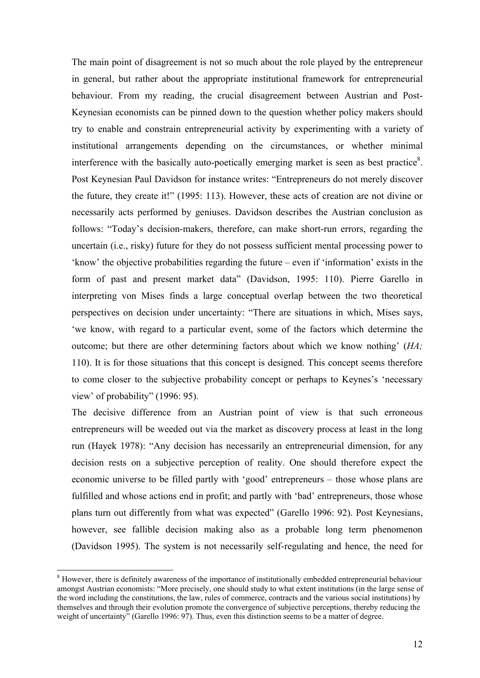The main point of disagreement is not so much about the role played by the entrepreneur in general, but rather about the appropriate institutional framework for entrepreneurial behaviour. From my reading, the crucial disagreement between Austrian and Post-Keynesian economists can be pinned down to the question whether policy makers should try to enable and constrain entrepreneurial activity by experimenting with a variety of institutional arrangements depending on the circumstances, or whether minimal interference with the basically auto-poetically emerging market is seen as best practice<sup>8</sup>. Post Keynesian Paul Davidson for instance writes: "Entrepreneurs do not merely discover the future, they create it!" (1995: 113). However, these acts of creation are not divine or necessarily acts performed by geniuses. Davidson describes the Austrian conclusion as follows: "Today's decision-makers, therefore, can make short-run errors, regarding the uncertain (i.e., risky) future for they do not possess sufficient mental processing power to 'know' the objective probabilities regarding the future – even if 'information' exists in the form of past and present market data" (Davidson, 1995: 110). Pierre Garello in interpreting von Mises finds a large conceptual overlap between the two theoretical perspectives on decision under uncertainty: "There are situations in which, Mises says, 'we know, with regard to a particular event, some of the factors which determine the outcome; but there are other determining factors about which we know nothing' (*HA;*  110). It is for those situations that this concept is designed. This concept seems therefore to come closer to the subjective probability concept or perhaps to Keynes's 'necessary view' of probability" (1996: 95).

The decisive difference from an Austrian point of view is that such erroneous entrepreneurs will be weeded out via the market as discovery process at least in the long run (Hayek 1978): "Any decision has necessarily an entrepreneurial dimension, for any decision rests on a subjective perception of reality. One should therefore expect the economic universe to be filled partly with 'good' entrepreneurs – those whose plans are fulfilled and whose actions end in profit; and partly with 'bad' entrepreneurs, those whose plans turn out differently from what was expected" (Garello 1996: 92). Post Keynesians, however, see fallible decision making also as a probable long term phenomenon (Davidson 1995). The system is not necessarily self-regulating and hence, the need for

<sup>&</sup>lt;sup>8</sup> However, there is definitely awareness of the importance of institutionally embedded entrepreneurial behaviour amongst Austrian economists: "More precisely, one should study to what extent institutions (in the large sense of the word including the constitutions, the law, rules of commerce, contracts and the various social institutions) by themselves and through their evolution promote the convergence of subjective perceptions, thereby reducing the weight of uncertainty" (Garello 1996: 97). Thus, even this distinction seems to be a matter of degree.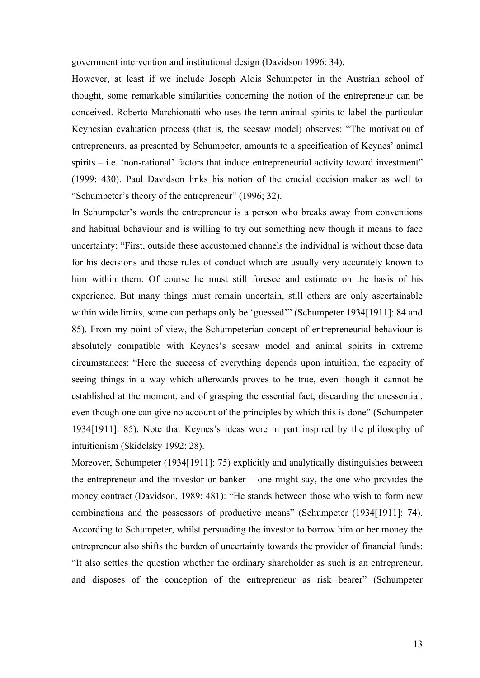government intervention and institutional design (Davidson 1996: 34).

However, at least if we include Joseph Alois Schumpeter in the Austrian school of thought, some remarkable similarities concerning the notion of the entrepreneur can be conceived. Roberto Marchionatti who uses the term animal spirits to label the particular Keynesian evaluation process (that is, the seesaw model) observes: "The motivation of entrepreneurs, as presented by Schumpeter, amounts to a specification of Keynes' animal spirits  $-$  i.e. 'non-rational' factors that induce entrepreneurial activity toward investment" (1999: 430). Paul Davidson links his notion of the crucial decision maker as well to "Schumpeter's theory of the entrepreneur" (1996; 32).

In Schumpeter's words the entrepreneur is a person who breaks away from conventions and habitual behaviour and is willing to try out something new though it means to face uncertainty: "First, outside these accustomed channels the individual is without those data for his decisions and those rules of conduct which are usually very accurately known to him within them. Of course he must still foresee and estimate on the basis of his experience. But many things must remain uncertain, still others are only ascertainable within wide limits, some can perhaps only be 'guessed'" (Schumpeter 1934[1911]: 84 and 85). From my point of view, the Schumpeterian concept of entrepreneurial behaviour is absolutely compatible with Keynes's seesaw model and animal spirits in extreme circumstances: "Here the success of everything depends upon intuition, the capacity of seeing things in a way which afterwards proves to be true, even though it cannot be established at the moment, and of grasping the essential fact, discarding the unessential, even though one can give no account of the principles by which this is done" (Schumpeter 1934[1911]: 85). Note that Keynes's ideas were in part inspired by the philosophy of intuitionism (Skidelsky 1992: 28).

Moreover, Schumpeter (1934[1911]: 75) explicitly and analytically distinguishes between the entrepreneur and the investor or banker – one might say, the one who provides the money contract (Davidson, 1989: 481): "He stands between those who wish to form new combinations and the possessors of productive means" (Schumpeter (1934[1911]: 74). According to Schumpeter, whilst persuading the investor to borrow him or her money the entrepreneur also shifts the burden of uncertainty towards the provider of financial funds: "It also settles the question whether the ordinary shareholder as such is an entrepreneur, and disposes of the conception of the entrepreneur as risk bearer" (Schumpeter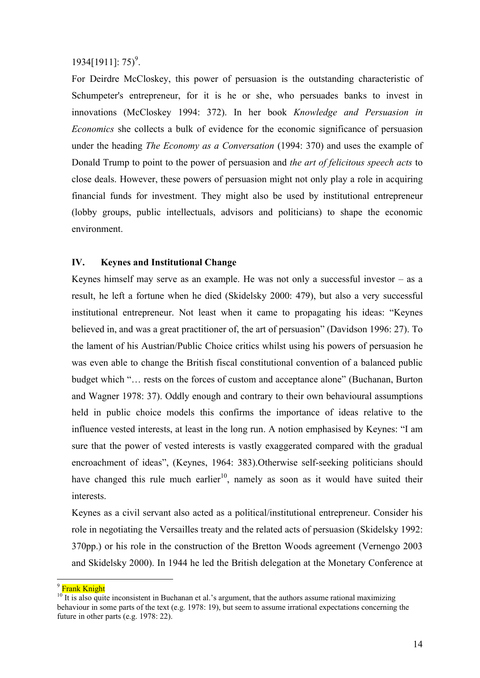# $1934[1911]$ : 75)<sup>9</sup>.

For Deirdre McCloskey, this power of persuasion is the outstanding characteristic of Schumpeter's entrepreneur, for it is he or she, who persuades banks to invest in innovations (McCloskey 1994: 372). In her book *Knowledge and Persuasion in Economics* she collects a bulk of evidence for the economic significance of persuasion under the heading *The Economy as a Conversation* (1994: 370) and uses the example of Donald Trump to point to the power of persuasion and *the art of felicitous speech acts* to close deals. However, these powers of persuasion might not only play a role in acquiring financial funds for investment. They might also be used by institutional entrepreneur (lobby groups, public intellectuals, advisors and politicians) to shape the economic environment.

## **IV. Keynes and Institutional Change**

Keynes himself may serve as an example. He was not only a successful investor  $-$  as a result, he left a fortune when he died (Skidelsky 2000: 479), but also a very successful institutional entrepreneur. Not least when it came to propagating his ideas: "Keynes believed in, and was a great practitioner of, the art of persuasion" (Davidson 1996: 27). To the lament of his Austrian/Public Choice critics whilst using his powers of persuasion he was even able to change the British fiscal constitutional convention of a balanced public budget which "… rests on the forces of custom and acceptance alone" (Buchanan, Burton and Wagner 1978: 37). Oddly enough and contrary to their own behavioural assumptions held in public choice models this confirms the importance of ideas relative to the influence vested interests, at least in the long run. A notion emphasised by Keynes: "I am sure that the power of vested interests is vastly exaggerated compared with the gradual encroachment of ideas", (Keynes, 1964: 383).Otherwise self-seeking politicians should have changed this rule much earlier<sup>10</sup>, namely as soon as it would have suited their interests.

Keynes as a civil servant also acted as a political/institutional entrepreneur. Consider his role in negotiating the Versailles treaty and the related acts of persuasion (Skidelsky 1992: 370pp.) or his role in the construction of the Bretton Woods agreement (Vernengo 2003 and Skidelsky 2000). In 1944 he led the British delegation at the Monetary Conference at

<sup>&</sup>lt;sup>9</sup> Frank Knight

 $10$  It is also quite inconsistent in Buchanan et al.'s argument, that the authors assume rational maximizing behaviour in some parts of the text (e.g. 1978: 19), but seem to assume irrational expectations concerning the future in other parts (e.g. 1978: 22).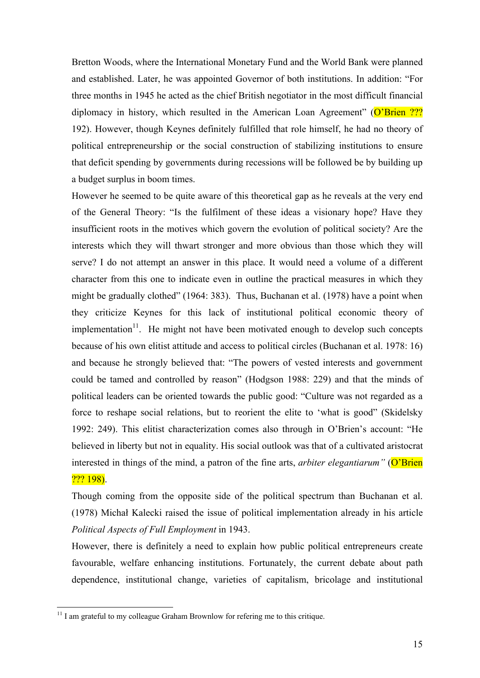Bretton Woods, where the International Monetary Fund and the World Bank were planned and established. Later, he was appointed Governor of both institutions. In addition: "For three months in 1945 he acted as the chief British negotiator in the most difficult financial diplomacy in history, which resulted in the American Loan Agreement" (O'Brien ??? 192). However, though Keynes definitely fulfilled that role himself, he had no theory of political entrepreneurship or the social construction of stabilizing institutions to ensure that deficit spending by governments during recessions will be followed be by building up a budget surplus in boom times.

However he seemed to be quite aware of this theoretical gap as he reveals at the very end of the General Theory: "Is the fulfilment of these ideas a visionary hope? Have they insufficient roots in the motives which govern the evolution of political society? Are the interests which they will thwart stronger and more obvious than those which they will serve? I do not attempt an answer in this place. It would need a volume of a different character from this one to indicate even in outline the practical measures in which they might be gradually clothed" (1964: 383). Thus, Buchanan et al. (1978) have a point when they criticize Keynes for this lack of institutional political economic theory of implementation<sup>11</sup>. He might not have been motivated enough to develop such concepts because of his own elitist attitude and access to political circles (Buchanan et al. 1978: 16) and because he strongly believed that: "The powers of vested interests and government could be tamed and controlled by reason" (Hodgson 1988: 229) and that the minds of political leaders can be oriented towards the public good: "Culture was not regarded as a force to reshape social relations, but to reorient the elite to 'what is good" (Skidelsky 1992: 249). This elitist characterization comes also through in O'Brien's account: "He believed in liberty but not in equality. His social outlook was that of a cultivated aristocrat interested in things of the mind, a patron of the fine arts, *arbiter elegantiarum*" (O'Brien  $\frac{77}{2}$  198).

Though coming from the opposite side of the political spectrum than Buchanan et al. (1978) Michał Kalecki raised the issue of political implementation already in his article *Political Aspects of Full Employment* in 1943.

However, there is definitely a need to explain how public political entrepreneurs create favourable, welfare enhancing institutions. Fortunately, the current debate about path dependence, institutional change, varieties of capitalism, bricolage and institutional

 $11$  I am grateful to my colleague Graham Brownlow for refering me to this critique.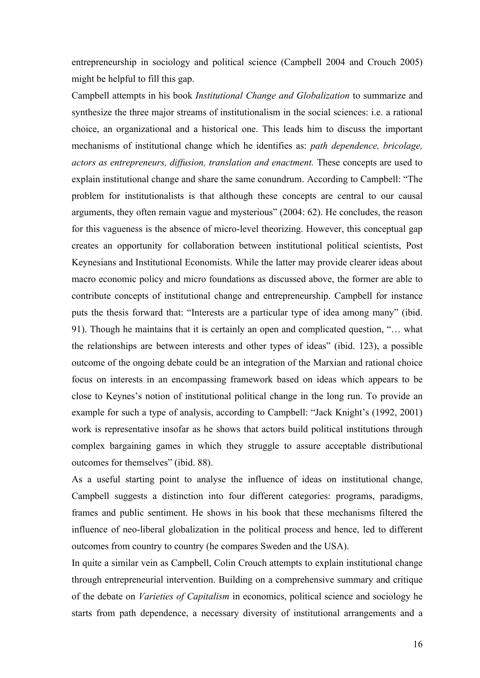entrepreneurship in sociology and political science (Campbell 2004 and Crouch 2005) might be helpful to fill this gap.

Campbell attempts in his book *Institutional Change and Globalization* to summarize and synthesize the three major streams of institutionalism in the social sciences: i.e. a rational choice, an organizational and a historical one. This leads him to discuss the important mechanisms of institutional change which he identifies as: *path dependence, bricolage, actors as entrepreneurs, diffusion, translation and enactment.* These concepts are used to explain institutional change and share the same conundrum. According to Campbell: "The problem for institutionalists is that although these concepts are central to our causal arguments, they often remain vague and mysterious" (2004: 62). He concludes, the reason for this vagueness is the absence of micro-level theorizing. However, this conceptual gap creates an opportunity for collaboration between institutional political scientists, Post Keynesians and Institutional Economists. While the latter may provide clearer ideas about macro economic policy and micro foundations as discussed above, the former are able to contribute concepts of institutional change and entrepreneurship. Campbell for instance puts the thesis forward that: "Interests are a particular type of idea among many" (ibid. 91). Though he maintains that it is certainly an open and complicated question, "… what the relationships are between interests and other types of ideas" (ibid. 123), a possible outcome of the ongoing debate could be an integration of the Marxian and rational choice focus on interests in an encompassing framework based on ideas which appears to be close to Keynes's notion of institutional political change in the long run. To provide an example for such a type of analysis, according to Campbell: "Jack Knight's (1992, 2001) work is representative insofar as he shows that actors build political institutions through complex bargaining games in which they struggle to assure acceptable distributional outcomes for themselves" (ibid. 88).

As a useful starting point to analyse the influence of ideas on institutional change, Campbell suggests a distinction into four different categories: programs, paradigms, frames and public sentiment. He shows in his book that these mechanisms filtered the influence of neo-liberal globalization in the political process and hence, led to different outcomes from country to country (he compares Sweden and the USA).

In quite a similar vein as Campbell, Colin Crouch attempts to explain institutional change through entrepreneurial intervention. Building on a comprehensive summary and critique of the debate on *Varieties of Capitalism* in economics, political science and sociology he starts from path dependence, a necessary diversity of institutional arrangements and a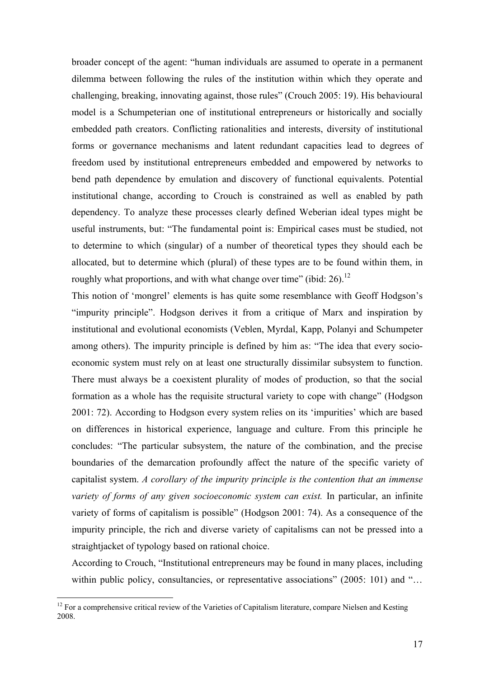broader concept of the agent: "human individuals are assumed to operate in a permanent dilemma between following the rules of the institution within which they operate and challenging, breaking, innovating against, those rules" (Crouch 2005: 19). His behavioural model is a Schumpeterian one of institutional entrepreneurs or historically and socially embedded path creators. Conflicting rationalities and interests, diversity of institutional forms or governance mechanisms and latent redundant capacities lead to degrees of freedom used by institutional entrepreneurs embedded and empowered by networks to bend path dependence by emulation and discovery of functional equivalents. Potential institutional change, according to Crouch is constrained as well as enabled by path dependency. To analyze these processes clearly defined Weberian ideal types might be useful instruments, but: "The fundamental point is: Empirical cases must be studied, not to determine to which (singular) of a number of theoretical types they should each be allocated, but to determine which (plural) of these types are to be found within them, in roughly what proportions, and with what change over time" (ibid:  $26$ ).<sup>12</sup>

This notion of 'mongrel' elements is has quite some resemblance with Geoff Hodgson's "impurity principle". Hodgson derives it from a critique of Marx and inspiration by institutional and evolutional economists (Veblen, Myrdal, Kapp, Polanyi and Schumpeter among others). The impurity principle is defined by him as: "The idea that every socioeconomic system must rely on at least one structurally dissimilar subsystem to function. There must always be a coexistent plurality of modes of production, so that the social formation as a whole has the requisite structural variety to cope with change" (Hodgson 2001: 72). According to Hodgson every system relies on its 'impurities' which are based on differences in historical experience, language and culture. From this principle he concludes: "The particular subsystem, the nature of the combination, and the precise boundaries of the demarcation profoundly affect the nature of the specific variety of capitalist system. *A corollary of the impurity principle is the contention that an immense variety of forms of any given socioeconomic system can exist.* In particular, an infinite variety of forms of capitalism is possible" (Hodgson 2001: 74). As a consequence of the impurity principle, the rich and diverse variety of capitalisms can not be pressed into a straightjacket of typology based on rational choice.

According to Crouch, "Institutional entrepreneurs may be found in many places, including within public policy, consultancies, or representative associations" (2005: 101) and "...

<sup>&</sup>lt;sup>12</sup> For a comprehensive critical review of the Varieties of Capitalism literature, compare Nielsen and Kesting 2008.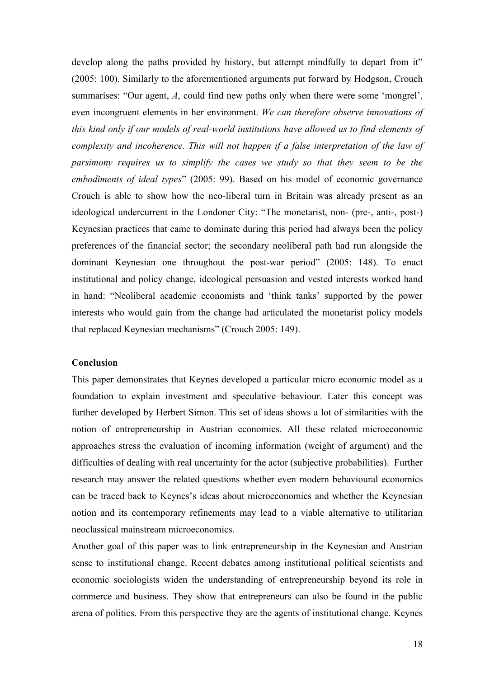develop along the paths provided by history, but attempt mindfully to depart from it" (2005: 100). Similarly to the aforementioned arguments put forward by Hodgson, Crouch summarises: "Our agent, *A*, could find new paths only when there were some 'mongrel', even incongruent elements in her environment. *We can therefore observe innovations of this kind only if our models of real-world institutions have allowed us to find elements of complexity and incoherence. This will not happen if a false interpretation of the law of parsimony requires us to simplify the cases we study so that they seem to be the embodiments of ideal types*" (2005: 99). Based on his model of economic governance Crouch is able to show how the neo-liberal turn in Britain was already present as an ideological undercurrent in the Londoner City: "The monetarist, non- (pre-, anti-, post-) Keynesian practices that came to dominate during this period had always been the policy preferences of the financial sector; the secondary neoliberal path had run alongside the dominant Keynesian one throughout the post-war period" (2005: 148). To enact institutional and policy change, ideological persuasion and vested interests worked hand in hand: "Neoliberal academic economists and 'think tanks' supported by the power interests who would gain from the change had articulated the monetarist policy models that replaced Keynesian mechanisms" (Crouch 2005: 149).

#### **Conclusion**

This paper demonstrates that Keynes developed a particular micro economic model as a foundation to explain investment and speculative behaviour. Later this concept was further developed by Herbert Simon. This set of ideas shows a lot of similarities with the notion of entrepreneurship in Austrian economics. All these related microeconomic approaches stress the evaluation of incoming information (weight of argument) and the difficulties of dealing with real uncertainty for the actor (subjective probabilities). Further research may answer the related questions whether even modern behavioural economics can be traced back to Keynes's ideas about microeconomics and whether the Keynesian notion and its contemporary refinements may lead to a viable alternative to utilitarian neoclassical mainstream microeconomics.

Another goal of this paper was to link entrepreneurship in the Keynesian and Austrian sense to institutional change. Recent debates among institutional political scientists and economic sociologists widen the understanding of entrepreneurship beyond its role in commerce and business. They show that entrepreneurs can also be found in the public arena of politics. From this perspective they are the agents of institutional change. Keynes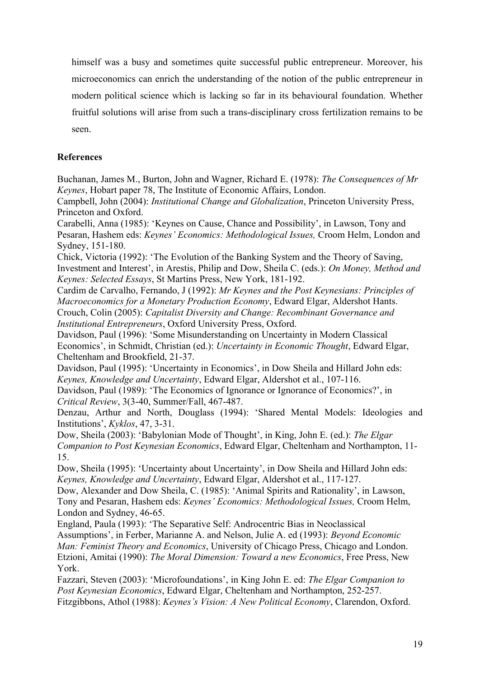himself was a busy and sometimes quite successful public entrepreneur. Moreover, his microeconomics can enrich the understanding of the notion of the public entrepreneur in modern political science which is lacking so far in its behavioural foundation. Whether fruitful solutions will arise from such a trans-disciplinary cross fertilization remains to be seen.

## **References**

Buchanan, James M., Burton, John and Wagner, Richard E. (1978): *The Consequences of Mr Keynes*, Hobart paper 78, The Institute of Economic Affairs, London.

Campbell, John (2004): *Institutional Change and Globalization*, Princeton University Press, Princeton and Oxford.

Carabelli, Anna (1985): 'Keynes on Cause, Chance and Possibility', in Lawson, Tony and Pesaran, Hashem eds: *Keynes' Economics: Methodological Issues,* Croom Helm, London and Sydney, 151-180.

Chick, Victoria (1992): 'The Evolution of the Banking System and the Theory of Saving, Investment and Interest', in Arestis, Philip and Dow, Sheila C. (eds.): *On Money, Method and Keynes: Selected Essays*, St Martins Press, New York, 181-192.

Cardim de Carvalho, Fernando, J (1992): *Mr Keynes and the Post Keynesians: Principles of Macroeconomics for a Monetary Production Economy*, Edward Elgar, Aldershot Hants. Crouch, Colin (2005): *Capitalist Diversity and Change: Recombinant Governance and Institutional Entrepreneurs*, Oxford University Press, Oxford.

Davidson, Paul (1996): 'Some Misunderstanding on Uncertainty in Modern Classical Economics', in Schmidt, Christian (ed.): *Uncertainty in Economic Thought*, Edward Elgar, Cheltenham and Brookfield, 21-37.

Davidson, Paul (1995): 'Uncertainty in Economics', in Dow Sheila and Hillard John eds: *Keynes, Knowledge and Uncertainty*, Edward Elgar, Aldershot et al., 107-116.

Davidson, Paul (1989): 'The Economics of Ignorance or Ignorance of Economics?', in *Critical Review*, 3(3-40, Summer/Fall, 467-487.

Denzau, Arthur and North, Douglass (1994): 'Shared Mental Models: Ideologies and Institutions', *Kyklos*, 47, 3-31.

Dow, Sheila (2003): 'Babylonian Mode of Thought', in King, John E. (ed.): *The Elgar Companion to Post Keynesian Economics*, Edward Elgar, Cheltenham and Northampton, 11- 15.

Dow, Sheila (1995): 'Uncertainty about Uncertainty', in Dow Sheila and Hillard John eds: *Keynes, Knowledge and Uncertainty*, Edward Elgar, Aldershot et al., 117-127.

Dow, Alexander and Dow Sheila, C. (1985): 'Animal Spirits and Rationality', in Lawson, Tony and Pesaran, Hashem eds: *Keynes' Economics: Methodological Issues,* Croom Helm, London and Sydney, 46-65.

England, Paula (1993): 'The Separative Self: Androcentric Bias in Neoclassical Assumptions', in Ferber, Marianne A. and Nelson, Julie A. ed (1993): *Beyond Economic Man: Feminist Theory and Economics*, University of Chicago Press, Chicago and London. Etzioni, Amitai (1990): *The Moral Dimension: Toward a new Economics*, Free Press, New York.

Fazzari, Steven (2003): 'Microfoundations', in King John E. ed: *The Elgar Companion to Post Keynesian Economics*, Edward Elgar, Cheltenham and Northampton, 252-257. Fitzgibbons, Athol (1988): *Keynes's Vision: A New Political Economy*, Clarendon, Oxford.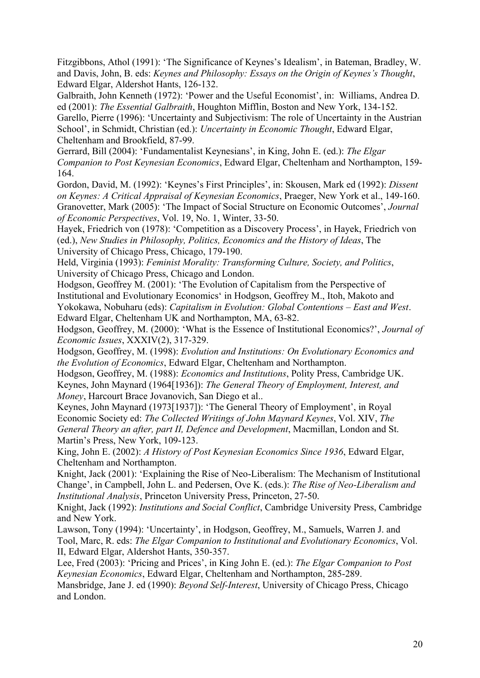Fitzgibbons, Athol (1991): 'The Significance of Keynes's Idealism', in Bateman, Bradley, W. and Davis, John, B. eds: *Keynes and Philosophy: Essays on the Origin of Keynes's Thought*, Edward Elgar, Aldershot Hants, 126-132.

Galbraith, John Kenneth (1972): 'Power and the Useful Economist', in: Williams, Andrea D. ed (2001): *The Essential Galbraith*, Houghton Mifflin, Boston and New York, 134-152.

Garello, Pierre (1996): 'Uncertainty and Subjectivism: The role of Uncertainty in the Austrian School', in Schmidt, Christian (ed.): *Uncertainty in Economic Thought*, Edward Elgar, Cheltenham and Brookfield, 87-99.

Gerrard, Bill (2004): 'Fundamentalist Keynesians', in King, John E. (ed.): *The Elgar Companion to Post Keynesian Economics*, Edward Elgar, Cheltenham and Northampton, 159- 164.

Gordon, David, M. (1992): 'Keynes's First Principles', in: Skousen, Mark ed (1992): *Dissent on Keynes: A Critical Appraisal of Keynesian Economics*, Praeger, New York et al., 149-160. Granovetter, Mark (2005): 'The Impact of Social Structure on Economic Outcomes', *Journal of Economic Perspectives*, Vol. 19, No. 1, Winter, 33-50.

Hayek, Friedrich von (1978): 'Competition as a Discovery Process', in Hayek, Friedrich von (ed.), *New Studies in Philosophy, Politics, Economics and the History of Ideas*, The University of Chicago Press, Chicago, 179-190.

Held, Virginia (1993): *Feminist Morality: Transforming Culture, Society, and Politics*, University of Chicago Press, Chicago and London.

Hodgson, Geoffrey M. (2001): 'The Evolution of Capitalism from the Perspective of Institutional and Evolutionary Economics' in Hodgson, Geoffrey M., Itoh, Makoto and Yokokawa, Nobuharu (eds): *Capitalism in Evolution: Global Contentions – East and West*. Edward Elgar, Cheltenham UK and Northampton, MA, 63-82.

Hodgson, Geoffrey, M. (2000): 'What is the Essence of Institutional Economics?', *Journal of Economic Issues*, XXXIV(2), 317-329.

Hodgson, Geoffrey, M. (1998): *Evolution and Institutions: On Evolutionary Economics and the Evolution of Economics*, Edward Elgar, Cheltenham and Northampton.

Hodgson, Geoffrey, M. (1988): *Economics and Institutions*, Polity Press, Cambridge UK. Keynes, John Maynard (1964[1936]): *The General Theory of Employment, Interest, and Money*, Harcourt Brace Jovanovich, San Diego et al..

Keynes, John Maynard (1973[1937]): 'The General Theory of Employment', in Royal Economic Society ed: *The Collected Writings of John Maynard Keynes*, Vol. XIV, *The General Theory an after, part II, Defence and Development*, Macmillan, London and St. Martin's Press, New York, 109-123.

King, John E. (2002): *A History of Post Keynesian Economics Since 1936*, Edward Elgar, Cheltenham and Northampton.

Knight, Jack (2001): 'Explaining the Rise of Neo-Liberalism: The Mechanism of Institutional Change', in Campbell, John L. and Pedersen, Ove K. (eds.): *The Rise of Neo-Liberalism and Institutional Analysis*, Princeton University Press, Princeton, 27-50.

Knight, Jack (1992): *Institutions and Social Conflict*, Cambridge University Press, Cambridge and New York.

Lawson, Tony (1994): 'Uncertainty', in Hodgson, Geoffrey, M., Samuels, Warren J. and Tool, Marc, R. eds: *The Elgar Companion to Institutional and Evolutionary Economics*, Vol. II, Edward Elgar, Aldershot Hants, 350-357.

Lee, Fred (2003): 'Pricing and Prices', in King John E. (ed.): *The Elgar Companion to Post Keynesian Economics*, Edward Elgar, Cheltenham and Northampton, 285-289.

Mansbridge, Jane J. ed (1990): *Beyond Self-Interest*, University of Chicago Press, Chicago and London.